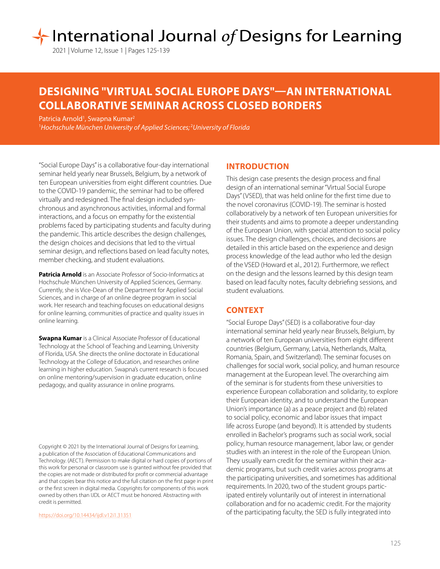# International Journal of Designs for Learning

2021 | Volume 12, Issue 1 | Pages 125-139

# **DESIGNING "VIRTUAL SOCIAL EUROPE DAYS"—AN INTERNATIONAL COLLABORATIVE SEMINAR ACROSS CLOSED BORDERS**

Patricia Arnold<sup>1</sup>, Swapna Kumar<sup>2</sup>

1 *Hochschule München University of Applied Sciences;* <sup>2</sup> *University of Florida*

"Social Europe Days" is a collaborative four-day international seminar held yearly near Brussels, Belgium, by a network of ten European universities from eight different countries. Due to the COVID-19 pandemic, the seminar had to be offered virtually and redesigned. The final design included synchronous and asynchronous activities, informal and formal interactions, and a focus on empathy for the existential problems faced by participating students and faculty during the pandemic. This article describes the design challenges, the design choices and decisions that led to the virtual seminar design, and reflections based on lead faculty notes, member checking, and student evaluations.

**Patricia Arnold** is an Associate Professor of Socio-Informatics at Hochschule München University of Applied Sciences, Germany. Currently, she is Vice-Dean of the Department for Applied Social Sciences, and in charge of an online degree program in social work. Her research and teaching focuses on educational designs for online learning, communities of practice and quality issues in online learning.

**Swapna Kumar** is a Clinical Associate Professor of Educational Technology at the School of Teaching and Learning, University of Florida, USA. She directs the online doctorate in Educational Technology at the College of Education, and researches online learning in higher education. Swapna's current research is focused on online mentoring/supervision in graduate education, online pedagogy, and quality assurance in online programs.

Copyright © 2021 by the International Journal of Designs for Learning, a publication of the Association of Educational Communications and Technology. (AECT). Permission to make digital or hard copies of portions of this work for personal or classroom use is granted without fee provided that the copies are not made or distributed for profit or commercial advantage and that copies bear this notice and the full citation on the first page in print or the first screen in digital media. Copyrights for components of this work owned by others than IJDL or AECT must be honored. Abstracting with credit is permitted.

[https://doi.org/](https://doi.org/10.14434/ijdl.v12i1.31351)10.14434/ijdl.v12i1.31351

# **INTRODUCTION**

This design case presents the design process and final design of an international seminar "Virtual Social Europe Days" (VSED), that was held online for the first time due to the novel coronavirus (COVID-19). The seminar is hosted collaboratively by a network of ten European universities for their students and aims to promote a deeper understanding of the European Union, with special attention to social policy issues. The design challenges, choices, and decisions are detailed in this article based on the experience and design process knowledge of the lead author who led the design of the VSED (Howard et al., 2012). Furthermore, we reflect on the design and the lessons learned by this design team based on lead faculty notes, faculty debriefing sessions, and student evaluations.

# **CONTEXT**

"Social Europe Days" (SED) is a collaborative four-day international seminar held yearly near Brussels, Belgium, by a network of ten European universities from eight different countries (Belgium, Germany, Latvia, Netherlands, Malta, Romania, Spain, and Switzerland). The seminar focuses on challenges for social work, social policy, and human resource management at the European level. The overarching aim of the seminar is for students from these universities to experience European collaboration and solidarity, to explore their European identity, and to understand the European Union's importance (a) as a peace project and (b) related to social policy, economic and labor issues that impact life across Europe (and beyond). It is attended by students enrolled in Bachelor's programs such as social work, social policy, human resource management, labor law, or gender studies with an interest in the role of the European Union. They usually earn credit for the seminar within their academic programs, but such credit varies across programs at the participating universities, and sometimes has additional requirements. In 2020, two of the student groups participated entirely voluntarily out of interest in international collaboration and for no academic credit. For the majority of the participating faculty, the SED is fully integrated into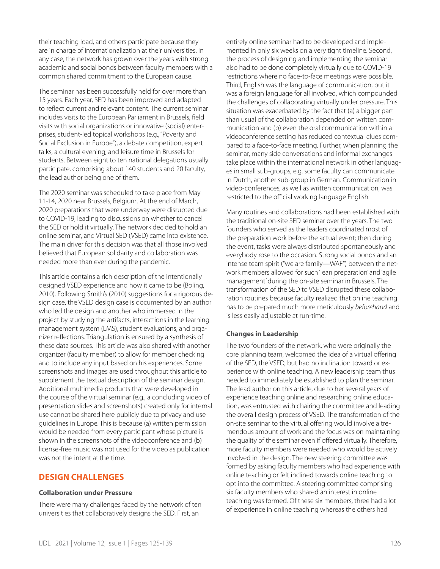their teaching load, and others participate because they are in charge of internationalization at their universities. In any case, the network has grown over the years with strong academic and social bonds between faculty members with a common shared commitment to the European cause.

The seminar has been successfully held for over more than 15 years. Each year, SED has been improved and adapted to reflect current and relevant content. The current seminar includes visits to the European Parliament in Brussels, field visits with social organizations or innovative (social) enterprises, student-led topical workshops (e.g., "Poverty and Social Exclusion in Europe"), a debate competition, expert talks, a cultural evening, and leisure time in Brussels for students. Between eight to ten national delegations usually participate, comprising about 140 students and 20 faculty, the lead author being one of them.

The 2020 seminar was scheduled to take place from May 11-14, 2020 near Brussels, Belgium. At the end of March, 2020 preparations that were underway were disrupted due to COVID-19, leading to discussions on whether to cancel the SED or hold it virtually. The network decided to hold an online seminar, and Virtual SED (VSED) came into existence. The main driver for this decision was that all those involved believed that European solidarity and collaboration was needed more than ever during the pandemic.

This article contains a rich description of the intentionally designed VSED experience and how it came to be (Boling, 2010). Following Smith's (2010) suggestions for a rigorous design case, the VSED design case is documented by an author who led the design and another who immersed in the project by studying the artifacts, interactions in the learning management system (LMS), student evaluations, and organizer reflections. Triangulation is ensured by a synthesis of these data sources. This article was also shared with another organizer (faculty member) to allow for member checking and to include any input based on his experiences. Some screenshots and images are used throughout this article to supplement the textual description of the seminar design. Additional multimedia products that were developed in the course of the virtual seminar (e.g., a concluding video of presentation slides and screenshots) created only for internal use cannot be shared here publicly due to privacy and use guidelines in Europe. This is because (a) written permission would be needed from every participant whose picture is shown in the screenshots of the videoconference and (b) license-free music was not used for the video as publication was not the intent at the time.

# **DESIGN CHALLENGES**

#### **Collaboration under Pressure**

There were many challenges faced by the network of ten universities that collaboratively designs the SED. First, an

entirely online seminar had to be developed and implemented in only six weeks on a very tight timeline. Second, the process of designing and implementing the seminar also had to be done completely virtually due to COVID-19 restrictions where no face-to-face meetings were possible. Third, English was the language of communication, but it was a foreign language for all involved, which compounded the challenges of collaborating virtually under pressure. This situation was exacerbated by the fact that (a) a bigger part than usual of the collaboration depended on written communication and (b) even the oral communication within a videoconference setting has reduced contextual clues compared to a face-to-face meeting. Further, when planning the seminar, many side conversations and informal exchanges take place within the international network in other languages in small sub-groups, e.g. some faculty can communicate in Dutch, another sub-group in German. Communication in video-conferences, as well as written communication, was restricted to the official working language English.

Many routines and collaborations had been established with the traditional on-site SED seminar over the years. The two founders who served as the leaders coordinated most of the preparation work before the actual event; then during the event, tasks were always distributed spontaneously and everybody rose to the occasion. Strong social bonds and an intense team spirit ("we are family—WAF") between the network members allowed for such 'lean preparation' and 'agile management' during the on-site seminar in Brussels. The transformation of the SED to VSED disrupted these collaboration routines because faculty realized that online teaching has to be prepared much more meticulously *beforehand* and is less easily adjustable at run-time.

#### **Changes in Leadership**

The two founders of the network, who were originally the core planning team, welcomed the idea of a virtual offering of the SED, the VSED, but had no inclination toward or experience with online teaching. A new leadership team thus needed to immediately be established to plan the seminar. The lead author on this article, due to her several years of experience teaching online and researching online education, was entrusted with chairing the committee and leading the overall design process of VSED. The transformation of the on-site seminar to the virtual offering would involve a tremendous amount of work and the focus was on maintaining the quality of the seminar even if offered virtually. Therefore, more faculty members were needed who would be actively involved in the design. The new steering committee was formed by asking faculty members who had experience with online teaching or felt inclined towards online teaching to opt into the committee. A steering committee comprising six faculty members who shared an interest in online teaching was formed. Of these six members, three had a lot of experience in online teaching whereas the others had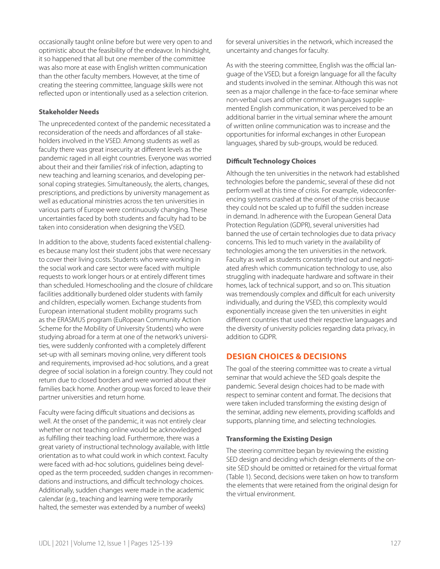creating the steering committee, language skills were not reflected upon or intentionally used as a selection criterion. **Stakeholder Needs** The unprecedented context of the pandemic necessitated a reconsideration of the needs and affordances of all stake-

occasionally taught online before but were very open to and optimistic about the feasibility of the endeavor. In hindsight, it so happened that all but one member of the committee was also more at ease with English written communication than the other faculty members. However, at the time of

holders involved in the VSED. Among students as well as faculty there was great insecurity at different levels as the pandemic raged in all eight countries. Everyone was worried about their and their families' risk of infection, adapting to new teaching and learning scenarios, and developing personal coping strategies. Simultaneously, the alerts, changes, prescriptions, and predictions by university management as well as educational ministries across the ten universities in various parts of Europe were continuously changing. These uncertainties faced by both students and faculty had to be taken into consideration when designing the VSED.

In addition to the above, students faced existential challenges because many lost their student jobs that were necessary to cover their living costs. Students who were working in the social work and care sector were faced with multiple requests to work longer hours or at entirely different times than scheduled. Homeschooling and the closure of childcare facilities additionally burdened older students with family and children, especially women. Exchange students from European international student mobility programs such as the ERASMUS program (EuRopean Community Action Scheme for the Mobility of University Students) who were studying abroad for a term at one of the network's universities, were suddenly confronted with a completely different set-up with all seminars moving online, very different tools and requirements, improvised ad-hoc solutions, and a great degree of social isolation in a foreign country. They could not return due to closed borders and were worried about their families back home. Another group was forced to leave their partner universities and return home.

Faculty were facing difficult situations and decisions as well. At the onset of the pandemic, it was not entirely clear whether or not teaching online would be acknowledged as fulfilling their teaching load. Furthermore, there was a great variety of instructional technology available, with little orientation as to what could work in which context. Faculty were faced with ad-hoc solutions, guidelines being developed as the term proceeded, sudden changes in recommendations and instructions, and difficult technology choices. Additionally, sudden changes were made in the academic calendar (e.g., teaching and learning were temporarily halted, the semester was extended by a number of weeks)

for several universities in the network, which increased the uncertainty and changes for faculty.

As with the steering committee, English was the official language of the VSED, but a foreign language for all the faculty and students involved in the seminar. Although this was not seen as a major challenge in the face-to-face seminar where non-verbal cues and other common languages supplemented English communication, it was perceived to be an additional barrier in the virtual seminar where the amount of written online communication was to increase and the opportunities for informal exchanges in other European languages, shared by sub-groups, would be reduced.

#### **Difficult Technology Choices**

Although the ten universities in the network had established technologies before the pandemic, several of these did not perform well at this time of crisis. For example, videoconferencing systems crashed at the onset of the crisis because they could not be scaled up to fulfill the sudden increase in demand. In adherence with the European General Data Protection Regulation (GDPR), several universities had banned the use of certain technologies due to data privacy concerns. This led to much variety in the availability of technologies among the ten universities in the network. Faculty as well as students constantly tried out and negotiated afresh which communication technology to use, also struggling with inadequate hardware and software in their homes, lack of technical support, and so on. This situation was tremendously complex and difficult for each university individually, and during the VSED, this complexity would exponentially increase given the ten universities in eight different countries that used their respective languages and the diversity of university policies regarding data privacy, in addition to GDPR.

# **DESIGN CHOICES & DECISIONS**

The goal of the steering committee was to create a virtual seminar that would achieve the SED goals despite the pandemic. Several design choices had to be made with respect to seminar content and format. The decisions that were taken included transforming the existing design of the seminar, adding new elements, providing scaffolds and supports, planning time, and selecting technologies.

#### **Transforming the Existing Design**

The steering committee began by reviewing the existing SED design and deciding which design elements of the onsite SED should be omitted or retained for the virtual format (Table 1). Second, decisions were taken on how to transform the elements that were retained from the original design for the virtual environment.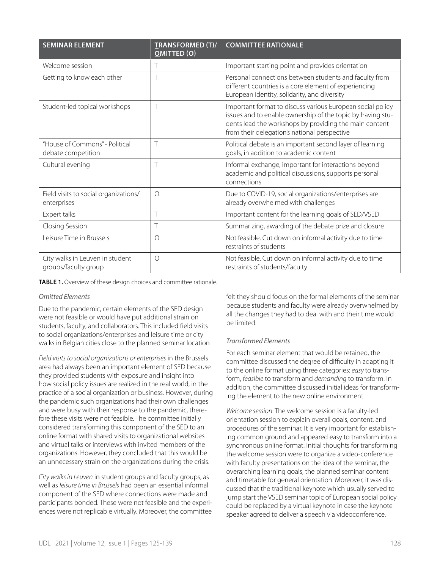| <b>SEMINAR ELEMENT</b>                                  | <b>TRANSFORMED (T)/</b><br><b>OMITTED (O)</b> | <b>COMMITTEE RATIONALE</b>                                                                                                                                                                                                         |
|---------------------------------------------------------|-----------------------------------------------|------------------------------------------------------------------------------------------------------------------------------------------------------------------------------------------------------------------------------------|
| Welcome session                                         | Τ                                             | Important starting point and provides orientation                                                                                                                                                                                  |
| Getting to know each other                              | Τ                                             | Personal connections between students and faculty from<br>different countries is a core element of experiencing<br>European identity, solidarity, and diversity                                                                    |
| Student-led topical workshops                           | Τ                                             | Important format to discuss various European social policy<br>issues and to enable ownership of the topic by having stu-<br>dents lead the workshops by providing the main content<br>from their delegation's national perspective |
| "House of Commons" - Political<br>debate competition    | $\top$                                        | Political debate is an important second layer of learning<br>goals, in addition to academic content                                                                                                                                |
| Cultural evening                                        | Τ                                             | Informal exchange, important for interactions beyond<br>academic and political discussions, supports personal<br>connections                                                                                                       |
| Field visits to social organizations/<br>enterprises    | $\bigcirc$                                    | Due to COVID-19, social organizations/enterprises are<br>already overwhelmed with challenges                                                                                                                                       |
| Expert talks                                            | Τ                                             | Important content for the learning goals of SED/VSED                                                                                                                                                                               |
| Closing Session                                         | Τ                                             | Summarizing, awarding of the debate prize and closure                                                                                                                                                                              |
| Leisure Time in Brussels                                | $\circ$                                       | Not feasible. Cut down on informal activity due to time<br>restraints of students                                                                                                                                                  |
| City walks in Leuven in student<br>groups/faculty group | $\bigcirc$                                    | Not feasible. Cut down on informal activity due to time<br>restraints of students/faculty                                                                                                                                          |

**TABLE 1.** Overview of these design choices and committee rationale.

#### *Omitted Elements*

Due to the pandemic, certain elements of the SED design were not feasible or would have put additional strain on students, faculty, and collaborators. This included field visits to social organizations/enterprises and leisure time or city walks in Belgian cities close to the planned seminar location

*Field visits to social organizations or enterprises* in the Brussels area had always been an important element of SED because they provided students with exposure and insight into how social policy issues are realized in the real world, in the practice of a social organization or business. However, during the pandemic such organizations had their own challenges and were busy with their response to the pandemic, therefore these visits were not feasible. The committee initially considered transforming this component of the SED to an online format with shared visits to organizational websites and virtual talks or interviews with invited members of the organizations. However, they concluded that this would be an unnecessary strain on the organizations during the crisis.

*City walks in Leuven* in student groups and faculty groups, as well as *leisure time in Brussels* had been an essential informal component of the SED where connections were made and participants bonded. These were not feasible and the experiences were not replicable virtually. Moreover, the committee felt they should focus on the formal elements of the seminar because students and faculty were already overwhelmed by all the changes they had to deal with and their time would be limited.

#### *Transformed Elements*

For each seminar element that would be retained, the committee discussed the degree of difficulty in adapting it to the online format using three categories: *easy* to transform, *feasible* to transform and *demanding* to transform. In addition, the committee discussed initial ideas for transforming the element to the new online environment

*Welcome session*: The welcome session is a faculty-led orientation session to explain overall goals, content, and procedures of the seminar. It is very important for establishing common ground and appeared easy to transform into a synchronous online format. Initial thoughts for transforming the welcome session were to organize a video-conference with faculty presentations on the idea of the seminar, the overarching learning goals, the planned seminar content and timetable for general orientation. Moreover, it was discussed that the traditional keynote which usually served to jump start the VSED seminar topic of European social policy could be replaced by a virtual keynote in case the keynote speaker agreed to deliver a speech via videoconference.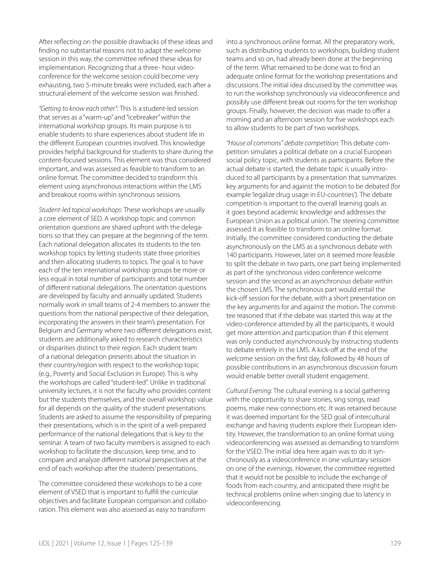After reflecting on the possible drawbacks of these ideas and finding no substantial reasons not to adapt the welcome session in this way, the committee refined these ideas for implementation. Recognizing that a three- hour videoconference for the welcome session could become very exhausting, two 5-minute breaks were included, each after a structural element of the welcome session was finished.

*"Getting to know each other":* This is a student-led session that serves as a "warm-up" and "icebreaker" within the international workshop groups. Its main purpose is to enable students to share experiences about student life in the different European countries involved. This knowledge provides helpful background for students to share during the content-focused sessions. This element was thus considered important, and was assessed as feasible to transform to an online format. The committee decided to transform this element using asynchronous interactions within the LMS and breakout rooms within synchronous sessions.

*Student-led topical workshops*: These workshops are usually a core element of SED. A workshop topic and common orientation questions are shared upfront with the delegations so that they can prepare at the beginning of the term. Each national delegation allocates its students to the ten workshop topics by letting students state three priorities and then allocating students to topics. The goal is to have each of the ten international workshop groups be more or less equal in total number of participants and total number of different national delegations. The orientation questions are developed by faculty and annually updated. Students normally work in small teams of 2-4 members to answer the questions from the national perspective of their delegation, incorporating the answers in their team's presentation. For Belgium and Germany where two different delegations exist, students are additionally asked to research characteristics or disparities distinct to their region. Each student team of a national delegation presents about the situation in their country/region with respect to the workshop topic (e.g., Poverty and Social Exclusion in Europe). This is why the workshops are called "student-led". Unlike in traditional university lectures, it is not the faculty who provides content but the students themselves, and the overall workshop value for all depends on the quality of the student presentations. Students are asked to assume the responsibility of preparing their presentations, which is in the spirit of a well-prepared performance of the national delegations that is key to the seminar. A team of two faculty members is assigned to each workshop to facilitate the discussion, keep time, and to compare and analyze different national perspectives at the end of each workshop after the students' presentations.

The committee considered these workshops to be a core element of VSED that is important to fulfill the curricular objectives and facilitate European comparison and collaboration. This element was also assessed as easy to transform

into a synchronous online format. All the preparatory work, such as distributing students to workshops, building student teams and so on, had already been done at the beginning of the term. What remained to be done was to find an adequate online format for the workshop presentations and discussions. The initial idea discussed by the committee was to run the workshop synchronously via videoconference and possibly use different break out rooms for the ten workshop groups. Finally, however, the decision was made to offer a morning and an afternoon session for five workshops each to allow students to be part of two workshops.

*"House of commons" debate competition:* This debate competition simulates a political debate on a crucial European social policy topic, with students as participants. Before the actual debate is started, the debate topic is usually introduced to all participants by a presentation that summarizes key arguments for and against the motion to be debated (for example 'legalize drug usage in EU-countries'). The debate competition is important to the overall learning goals as it goes beyond academic knowledge and addresses the European Union as a political union. The steering committee assessed it as feasible to transform to an online format. Initially, the committee considered conducting the debate asynchronously on the LMS as a synchronous debate with 140 participants. However, later on it seemed more feasible to split the debate in two parts, one part being implemented as part of the synchronous video conference welcome session and the second as an asynchronous debate within the chosen LMS. The synchronous part would entail the kick-off session for the debate, with a short presentation on the key arguments for and against the motion. The committee reasoned that if the debate was started this way at the video-conference attended by all the participants, it would get more attention and participation than if this element was only conducted asynchronously by instructing students to debate entirely in the LMS. A kick-off at the end of the welcome session on the first day, followed by 48 hours of possible contributions in an asynchronous discussion forum would enable better overall student engagement.

*Cultural Evening:* The cultural evening is a social gathering with the opportunity to share stories, sing songs, read poems, make new connections etc. It was retained because it was deemed important for the SED goal of intercultural exchange and having students explore their European identity. However, the transformation to an online format using videoconferencing was assessed as demanding to transform for the VSED. The initial idea here again was to do it synchronously as a videoconference in one voluntary session on one of the evenings. However, the committee regretted that it would not be possible to include the exchange of foods from each country, and anticipated there might be technical problems online when singing due to latency in videoconferencing.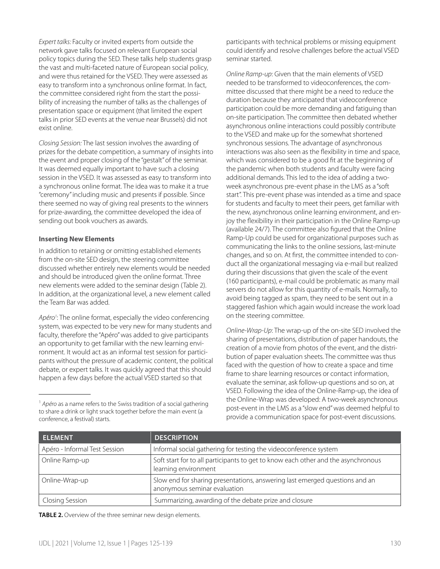*Expert talks:* Faculty or invited experts from outside the network gave talks focused on relevant European social policy topics during the SED. These talks help students grasp the vast and multi-faceted nature of European social policy, and were thus retained for the VSED. They were assessed as easy to transform into a synchronous online format. In fact, the committee considered right from the start the possibility of increasing the number of talks as the challenges of presentation space or equipment (that limited the expert talks in prior SED events at the venue near Brussels) did not exist online.

*Closing Session:* The last session involves the awarding of prizes for the debate competition, a summary of insights into the event and proper closing of the "gestalt" of the seminar. It was deemed equally important to have such a closing session in the VSED. It was assessed as easy to transform into a synchronous online format. The idea was to make it a true "ceremony" including music and presents if possible. Since there seemed no way of giving real presents to the winners for prize-awarding, the committee developed the idea of sending out book vouchers as awards.

#### **Inserting New Elements**

In addition to retaining or omitting established elements from the on-site SED design, the steering committee discussed whether entirely new elements would be needed and should be introduced given the online format. Three new elements were added to the seminar design (Table 2). In addition, at the organizational level, a new element called the Team Bar was added.

Apéro<sup>1</sup>: The online format, especially the video conferencing system, was expected to be very new for many students and faculty, therefore the "Apéro" was added to give participants an opportunity to get familiar with the new learning environment. It would act as an informal test session for participants without the pressure of academic content, the political debate, or expert talks. It was quickly agreed that this should happen a few days before the actual VSED started so that

participants with technical problems or missing equipment could identify and resolve challenges before the actual VSED seminar started.

*Online Ramp-up*: Given that the main elements of VSED needed to be transformed to videoconferences, the committee discussed that there might be a need to reduce the duration because they anticipated that videoconference participation could be more demanding and fatiguing than on-site participation. The committee then debated whether asynchronous online interactions could possibly contribute to the VSED and make up for the somewhat shortened synchronous sessions. The advantage of asynchronous interactions was also seen as the flexibility in time and space, which was considered to be a good fit at the beginning of the pandemic when both students and faculty were facing additional demands. This led to the idea of adding a twoweek asynchronous pre-event phase in the LMS as a "soft start". This pre-event phase was intended as a time and space for students and faculty to meet their peers, get familiar with the new, asynchronous online learning environment, and enjoy the flexibility in their participation in the Online Ramp-up (available 24/7). The committee also figured that the Online Ramp-Up could be used for organizational purposes such as communicating the links to the online sessions, last-minute changes, and so on. At first, the committee intended to conduct all the organizational messaging via e-mail but realized during their discussions that given the scale of the event (160 participants), e-mail could be problematic as many mail servers do not allow for this quantity of e-mails. Normally, to avoid being tagged as spam, they need to be sent out in a staggered fashion which again would increase the work load on the steering committee.

*Online-Wrap-Up*: The wrap-up of the on-site SED involved the sharing of presentations, distribution of paper handouts, the creation of a movie from photos of the event, and the distribution of paper evaluation sheets. The committee was thus faced with the question of how to create a space and time frame to share learning resources or contact information, evaluate the seminar, ask follow-up questions and so on, at VSED. Following the idea of the Online-Ramp-up, the idea of the Online-Wrap was developed: A two-week asynchronous post-event in the LMS as a "slow end" was deemed helpful to provide a communication space for post-event discussions.

| <b>ELEMENT</b>                | <b>DESCRIPTION</b>                                                                                          |
|-------------------------------|-------------------------------------------------------------------------------------------------------------|
| Apéro - Informal Test Session | Informal social gathering for testing the videoconference system                                            |
| Online Ramp-up                | Soft start for to all participants to get to know each other and the asynchronous<br>learning environment   |
| Online-Wrap-up                | Slow end for sharing presentations, answering last emerged questions and an<br>anonymous seminar evaluation |
| <b>Closing Session</b>        | Summarizing, awarding of the debate prize and closure                                                       |

**TABLE 2.** Overview of the three seminar new design elements.

<sup>1</sup> *Apéro* as a name refers to the Swiss tradition of a social gathering to share a drink or light snack together before the main event (a conference, a festival) starts.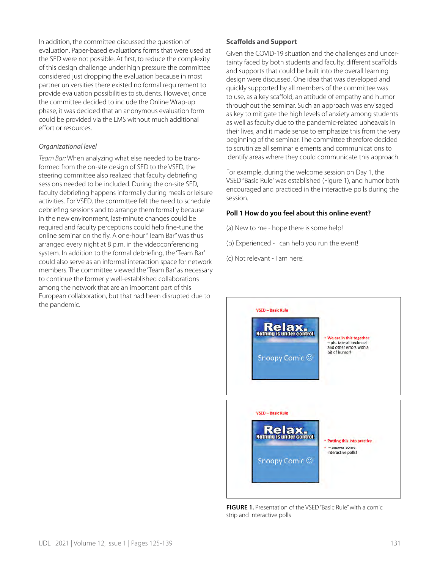In addition, the committee discussed the question of evaluation. Paper-based evaluations forms that were used at the SED were not possible. At first, to reduce the complexity of this design challenge under high pressure the committee considered just dropping the evaluation because in most partner universities there existed no formal requirement to provide evaluation possibilities to students. However, once the committee decided to include the Online Wrap-up phase, it was decided that an anonymous evaluation form could be provided via the LMS without much additional effort or resources.

#### *Organizational level*

*Team Bar:* When analyzing what else needed to be transformed from the on-site design of SED to the VSED, the steering committee also realized that faculty debriefing sessions needed to be included. During the on-site SED, faculty debriefing happens informally during meals or leisure activities. For VSED, the committee felt the need to schedule debriefing sessions and to arrange them formally because in the new environment, last-minute changes could be required and faculty perceptions could help fine-tune the online seminar on the fly. A one-hour "Team Bar" was thus arranged every night at 8 p.m. in the videoconferencing system. In addition to the formal debriefing, the 'Team Bar' could also serve as an informal interaction space for network members. The committee viewed the 'Team Bar' as necessary to continue the formerly well-established collaborations among the network that are an important part of this European collaboration, but that had been disrupted due to the pandemic.

#### **Scaffolds and Support**

Given the COVID-19 situation and the challenges and uncertainty faced by both students and faculty, different scaffolds and supports that could be built into the overall learning design were discussed. One idea that was developed and quickly supported by all members of the committee was to use, as a key scaffold, an attitude of empathy and humor throughout the seminar. Such an approach was envisaged as key to mitigate the high levels of anxiety among students as well as faculty due to the pandemic-related upheavals in their lives, and it made sense to emphasize this from the very beginning of the seminar. The committee therefore decided to scrutinize all seminar elements and communications to identify areas where they could communicate this approach.

For example, during the welcome session on Day 1, the VSED "Basic Rule" was established (Figure 1), and humor both encouraged and practiced in the interactive polls during the session.

#### **Poll 1 How do you feel about this online event?**

(a) New to me - hope there is some help!

(b) Experienced - I can help you run the event!

(c) Not relevant - I am here!



**FIGURE 1.** Presentation of the VSED "Basic Rule" with a comic strip and interactive polls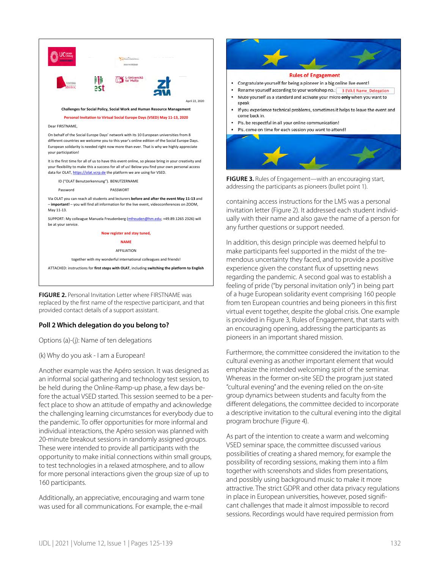

**FIGURE 2.** Personal Invitation Letter where FIRSTNAME was replaced by the first name of the respective participant, and that provided contact details of a support assistant.

#### **Poll 2 Which delegation do you belong to?**

Options (a)-(j): Name of ten delegations

(k) Why do you ask - I am a European!

Another example was the Apéro session. It was designed as an informal social gathering and technology test session, to be held during the Online-Ramp-up phase, a few days before the actual VSED started. This session seemed to be a perfect place to show an attitude of empathy and acknowledge the challenging learning circumstances for everybody due to the pandemic. To offer opportunities for more informal and individual interactions, the Apéro session was planned with 20-minute breakout sessions in randomly assigned groups. These were intended to provide all participants with the opportunity to make initial connections within small groups, to test technologies in a relaxed atmosphere, and to allow for more personal interactions given the group size of up to 160 participants.

Additionally, an appreciative, encouraging and warm tone was used for all communications. For example, the e-mail



addressing the participants as pioneers (bullet point 1).

containing access instructions for the LMS was a personal invitation letter (Figure 2). It addressed each student individually with their name and also gave the name of a person for any further questions or support needed.

In addition, this design principle was deemed helpful to make participants feel supported in the midst of the tremendous uncertainty they faced, and to provide a positive experience given the constant flux of upsetting news regarding the pandemic. A second goal was to establish a feeling of pride ("by personal invitation only") in being part of a huge European solidarity event comprising 160 people from ten European countries and being pioneers in this first virtual event together, despite the global crisis. One example is provided in Figure 3, Rules of Engagement, that starts with an encouraging opening, addressing the participants as pioneers in an important shared mission.

Furthermore, the committee considered the invitation to the cultural evening as another important element that would emphasize the intended welcoming spirit of the seminar. Whereas in the former on-site SED the program just stated "cultural evening" and the evening relied on the on-site group dynamics between students and faculty from the different delegations, the committee decided to incorporate a descriptive invitation to the cultural evening into the digital program brochure (Figure 4).

As part of the intention to create a warm and welcoming VSED seminar space, the committee discussed various possibilities of creating a shared memory, for example the possibility of recording sessions, making them into a film together with screenshots and slides from presentations, and possibly using background music to make it more attractive. The strict GDPR and other data privacy regulations in place in European universities, however, posed significant challenges that made it almost impossible to record sessions. Recordings would have required permission from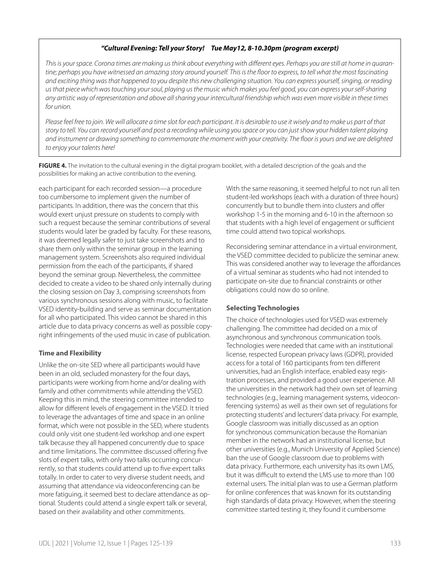#### *"Cultural Evening: Tell your Story! Tue May12, 8-10.30pm (program excerpt)*

*This is your space. Corona times are making us think about everything with different eyes. Perhaps you are still at home in quarantine; perhaps you have witnessed an amazing story around yourself. This is the floor to express, to tell what the most fascinating and exciting thing was that happened to you despite this new challenging situation. You can express yourself, singing, or reading us that piece which was touching your soul, playing us the music which makes you feel good, you can express your self-sharing any artistic way of representation and above all sharing your intercultural friendship which was even more visible in these times for union.* 

*Please feel free to join. We will allocate a time slot for each participant. It is desirable to use it wisely and to make us part of that story to tell. You can record yourself and post a recording while using you space or you can just show your hidden talent playing and instrument or drawing something to commemorate the moment with your creativity. The floor is yours and we are delighted to enjoy your talents here!*

**FIGURE 4.** The invitation to the cultural evening in the digital program booklet, with a detailed description of the goals and the possibilities for making an active contribution to the evening.

each participant for each recorded session—a procedure too cumbersome to implement given the number of participants. In addition, there was the concern that this would exert unjust pressure on students to comply with such a request because the seminar contributions of several students would later be graded by faculty. For these reasons, it was deemed legally safer to just take screenshots and to share them only within the seminar group in the learning management system. Screenshots also required individual permission from the each of the participants, if shared beyond the seminar group. Nevertheless, the committee decided to create a video to be shared only internally during the closing session on Day 3, comprising screenshots from various synchronous sessions along with music, to facilitate VSED identity-building and serve as seminar documentation for all who participated. This video cannot be shared in this article due to data privacy concerns as well as possible copyright infringements of the used music in case of publication.

#### **Time and Flexibility**

Unlike the on-site SED where all participants would have been in an old, secluded monastery for the four days, participants were working from home and/or dealing with family and other commitments while attending the VSED. Keeping this in mind, the steering committee intended to allow for different levels of engagement in the VSED. It tried to leverage the advantages of time and space in an online format, which were not possible in the SED, where students could only visit one student-led workshop and one expert talk because they all happened concurrently due to space and time limitations. The committee discussed offering five slots of expert talks, with only two talks occurring concurrently, so that students could attend up to five expert talks totally. In order to cater to very diverse student needs, and assuming that attendance via videoconferencing can be more fatiguing, it seemed best to declare attendance as optional. Students could attend a single expert talk or several, based on their availability and other commitments.

With the same reasoning, it seemed helpful to not run all ten student-led workshops (each with a duration of three hours) concurrently but to bundle them into clusters and offer workshop 1-5 in the morning and 6-10 in the afternoon so that students with a high level of engagement or sufficient time could attend two topical workshops.

Reconsidering seminar attendance in a virtual environment, the VSED committee decided to publicize the seminar anew. This was considered another way to leverage the affordances of a virtual seminar as students who had not intended to participate on-site due to financial constraints or other obligations could now do so online.

#### **Selecting Technologies**

The choice of technologies used for VSED was extremely challenging. The committee had decided on a mix of asynchronous and synchronous communication tools. Technologies were needed that came with an institutional license, respected European privacy laws (GDPR), provided access for a total of 160 participants from ten different universities, had an English interface, enabled easy registration processes, and provided a good user experience. All the universities in the network had their own set of learning technologies (e.g., learning management systems, videoconferencing systems) as well as their own set of regulations for protecting students' and lecturers' data privacy. For example, Google classroom was initially discussed as an option for synchronous communication because the Romanian member in the network had an institutional license, but other universities (e.g., Munich University of Applied Science) ban the use of Google classroom due to problems with data privacy. Furthermore, each university has its own LMS, but it was difficult to extend the LMS use to more than 100 external users. The initial plan was to use a German platform for online conferences that was known for its outstanding high standards of data privacy. However, when the steering committee started testing it, they found it cumbersome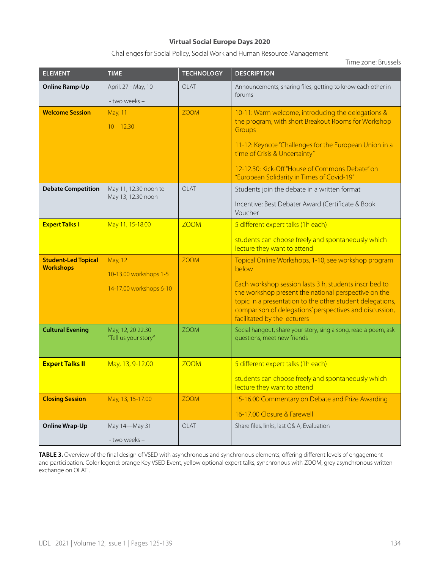#### **Virtual Social Europe Days 2020**

Challenges for Social Policy, Social Work and Human Resource Management

Time zone: Brussels

| <b>ELEMENT</b>                                 | <b>TIME</b>                                                  | <b>TECHNOLOGY</b> | <b>DESCRIPTION</b>                                                                                                                                                                                                                                                                                                                      |
|------------------------------------------------|--------------------------------------------------------------|-------------------|-----------------------------------------------------------------------------------------------------------------------------------------------------------------------------------------------------------------------------------------------------------------------------------------------------------------------------------------|
| <b>Online Ramp-Up</b>                          | April, 27 - May, 10<br>- two weeks -                         | OLAT              | Announcements, sharing files, getting to know each other in<br>forums                                                                                                                                                                                                                                                                   |
| <b>Welcome Session</b>                         | May, 11<br>$10 - 12.30$                                      | <b>ZOOM</b>       | 10-11: Warm welcome, introducing the delegations &<br>the program, with short Breakout Rooms for Workshop<br>Groups<br>11-12: Keynote "Challenges for the European Union in a<br>time of Crisis & Uncertainty"<br>12-12.30: Kick-Off "House of Commons Debate" on<br>"European Solidarity in Times of Covid-19"                         |
| <b>Debate Competition</b>                      | May 11, 12.30 noon to<br>May 13, 12.30 noon                  | OLAT              | Students join the debate in a written format<br>Incentive: Best Debater Award (Certificate & Book<br>Voucher                                                                                                                                                                                                                            |
| <b>Expert Talks I</b>                          | May 11, 15-18.00                                             | <b>ZOOM</b>       | 5 different expert talks (1h each)<br>students can choose freely and spontaneously which<br>lecture they want to attend                                                                                                                                                                                                                 |
| <b>Student-Led Topical</b><br><b>Workshops</b> | May, 12<br>10-13.00 workshops 1-5<br>14-17.00 workshops 6-10 | <b>ZOOM</b>       | Topical Online Workshops, 1-10, see workshop program<br>below<br>Each workshop session lasts 3 h, students inscribed to<br>the workshop present the national perspective on the<br>topic in a presentation to the other student delegations,<br>comparison of delegations' perspectives and discussion,<br>facilitated by the lecturers |
| <b>Cultural Evening</b>                        | May, 12, 20 22.30<br>"Tell us your story"                    | <b>ZOOM</b>       | Social hangout, share your story, sing a song, read a poem, ask<br>questions, meet new friends                                                                                                                                                                                                                                          |
| <b>Expert Talks II</b>                         | May, 13, 9-12.00                                             | <b>ZOOM</b>       | 5 different expert talks (1h each)<br>students can choose freely and spontaneously which<br>lecture they want to attend                                                                                                                                                                                                                 |
| <b>Closing Session</b>                         | May, 13, 15-17.00                                            | <b>ZOOM</b>       | 15-16.00 Commentary on Debate and Prize Awarding<br>16-17.00 Closure & Farewell                                                                                                                                                                                                                                                         |
| <b>Online Wrap-Up</b>                          | May 14-May 31<br>- two weeks -                               | OLAT              | Share files, links, last Q& A, Evaluation                                                                                                                                                                                                                                                                                               |

TABLE 3. Overview of the final design of VSED with asynchronous and synchronous elements, offering different levels of engagement and participation. Color legend: orange Key VSED Event, yellow optional expert talks, synchronous with ZOOM, grey asynchronous written exchange on OLAT .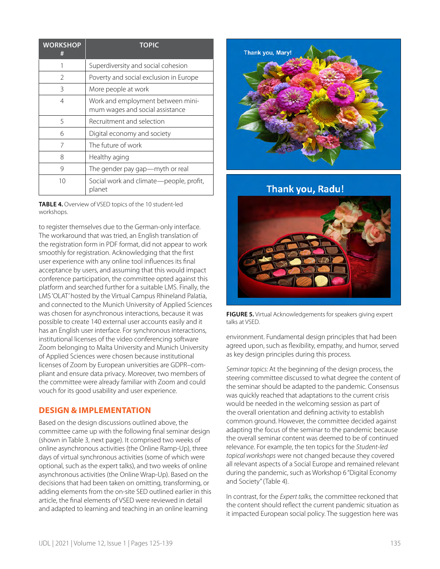| <b>WORKSHOP</b><br># | <b>TOPIC</b>                                                         |
|----------------------|----------------------------------------------------------------------|
|                      | Superdiversity and social cohesion                                   |
| $\overline{2}$       | Poverty and social exclusion in Europe                               |
| 3                    | More people at work                                                  |
| 4                    | Work and employment between mini-<br>mum wages and social assistance |
| 5                    | Recruitment and selection                                            |
| 6                    | Digital economy and society                                          |
| 7                    | The future of work                                                   |
| 8                    | Healthy aging                                                        |
| 9                    | The gender pay gap-myth or real                                      |
| 10                   | Social work and climate-people, profit,<br>planet                    |

**TABLE 4.** Overview of VSED topics of the 10 student-led workshops.

to register themselves due to the German-only interface. The workaround that was tried, an English translation of the registration form in PDF format, did not appear to work smoothly for registration. Acknowledging that the first user experience with any online tool influences its final acceptance by users, and assuming that this would impact conference participation, the committee opted against this platform and searched further for a suitable LMS. Finally, the LMS 'OLAT' hosted by the Virtual Campus Rhineland Palatia, and connected to the Munich University of Applied Sciences was chosen for asynchronous interactions, because it was possible to create 140 external user accounts easily and it has an English user interface. For synchronous interactions, institutional licenses of the video conferencing software Zoom belonging to Malta University and Munich University of Applied Sciences were chosen because institutional licenses of Zoom by European universities are GDPR–compliant and ensure data privacy. Moreover, two members of the committee were already familiar with Zoom and could vouch for its good usability and user experience.

# **DESIGN & IMPLEMENTATION**

Based on the design discussions outlined above, the committee came up with the following final seminar design (shown in Table 3, next page). It comprised two weeks of online asynchronous activities (the Online Ramp-Up), three days of virtual synchronous activities (some of which were optional, such as the expert talks), and two weeks of online asynchronous activities (the Online Wrap-Up). Based on the decisions that had been taken on omitting, transforming, or adding elements from the on-site SED outlined earlier in this article, the final elements of VSED were reviewed in detail and adapted to learning and teaching in an online learning



**Thank you, Radu!** 



**FIGURE 5.** Virtual Acknowledgements for speakers giving expert talks at VSED.

environment. Fundamental design principles that had been agreed upon, such as flexibility, empathy, and humor, served as key design principles during this process.

*Seminar topics:* At the beginning of the design process, the steering committee discussed to what degree the content of the seminar should be adapted to the pandemic. Consensus was quickly reached that adaptations to the current crisis would be needed in the welcoming session as part of the overall orientation and defining activity to establish common ground. However, the committee decided against adapting the focus of the seminar to the pandemic because the overall seminar content was deemed to be of continued relevance. For example, the ten topics for the *Student-led topical workshops* were not changed because they covered all relevant aspects of a Social Europe and remained relevant during the pandemic, such as Workshop 6 "Digital Economy and Society" (Table 4).

In contrast, for the *Expert talks,* the committee reckoned that the content should reflect the current pandemic situation as it impacted European social policy. The suggestion here was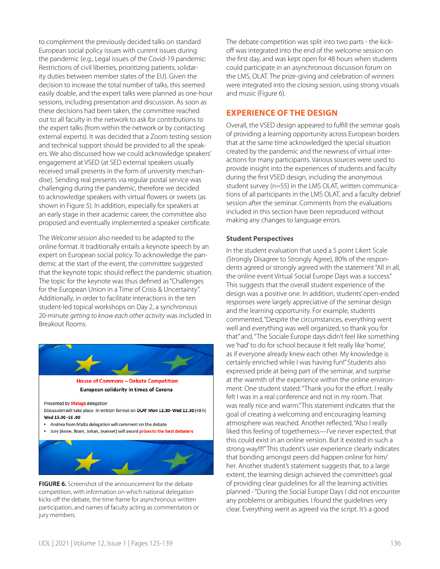to complement the previously decided talks on standard European social policy issues with current issues during the pandemic (e.g., Legal issues of the Covid-19 pandemic: Restrictions of civil liberties, prioritizing patients, solidarity duties between member states of the EU). Given the decision to increase the total number of talks, this seemed easily doable, and the expert talks were planned as one-hour sessions, including presentation and discussion. As soon as these decisions had been taken, the committee reached out to all faculty in the network to ask for contributions to the expert talks (from within the network or by contacting external experts). It was decided that a Zoom testing session and technical support should be provided to all the speakers. We also discussed how we could acknowledge speakers' engagement at VSED (at SED external speakers usually received small presents in the form of university merchandise). Sending real presents via regular postal service was challenging during the pandemic, therefore we decided to acknowledge speakers with virtual flowers or sweets (as shown in Figure 5). In addition, especially for speakers at an early stage in their academic career, the committee also proposed and eventually implemented a speaker certificate.

The *Welcome session* also needed to be adapted to the online format. It traditionally entails a keynote speech by an expert on European social policy. To acknowledge the pandemic at the start of the event, the committee suggested that the keynote topic should reflect the pandemic situation. The topic for the keynote was thus defined as "Challenges for the European Union in a Time of Crisis & Uncertainty". Additionally, in order to facilitate interactions in the ten student-led topical workshops on Day 2, a synchronous 20-minute *getting to know each other activity* was included in Breakout Rooms.



**FIGURE 6.** Screenshot of the announcement for the debate competition, with information on which national delegation kicks-off the debate, the time frame for asynchronous written participation, and names of faculty acting as commentators or jury members.

The debate competition was split into two parts - the kickoff was integrated into the end of the welcome session on the first day, and was kept open for 48 hours when students could participate in an asynchronous discussion forum on the LMS, OLAT. The prize-giving and celebration of winners were integrated into the closing session, using strong visuals and music (Figure 6).

# **EXPERIENCE OF THE DESIGN**

Overall, the VSED design appeared to fulfill the seminar goals of providing a learning opportunity across European borders that at the same time acknowledged the special situation created by the pandemic and the newness of virtual interactions for many participants. Various sources were used to provide insight into the experiences of students and faculty during the first VSED design, including the anonymous student survey (n=55) in the LMS OLAT, written communications of all participants in the LMS OLAT, and a faculty debrief session after the seminar. Comments from the evaluations included in this section have been reproduced without making any changes to language errors.

#### **Student Perspectives**

In the student evaluation that used a 5 point Likert Scale (Strongly Disagree to Strongly Agree), 80% of the respondents agreed or strongly agreed with the statement "All in all, the online event Virtual Social Europe Days was a success." This suggests that the overall student experience of the design was a positive one. In addition, students' open-ended responses were largely appreciative of the seminar design and the learning opportunity. For example, students commented, "Despite the circumstances, everything went well and everything was well organized, so thank you for that" and, "The Sociale Europe days didn't feel like something we 'had' to do for school because it felt really like 'home', as if everyone already knew each other. My knowledge is certainly enriched while I was having fun!" Students also expressed pride at being part of the seminar, and surprise at the warmth of the experience within the online environment: One student stated: "Thank you for the effort. I really felt I was in a real conference and not in my room. That was really nice and warm." This statement indicates that the goal of creating a welcoming and encouraging learning atmosphere was reached. Another reflected, "Also I really liked this feeling of togetherness—I've never expected, that this could exist in an online version. But it existed in such a strong way!!!!" This student's user experience clearly indicates that bonding amongst peers did happen online for him/ her. Another student's statement suggests that, to a large extent, the learning design achieved the committee's goal of providing clear guidelines for all the learning activities planned - "During the Social Europe Days I did not encounter any problems or ambiguities. I found the guidelines very clear. Everything went as agreed via the script. It's a good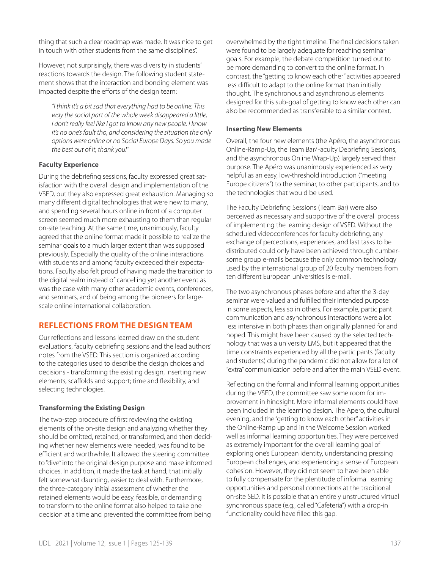thing that such a clear roadmap was made. It was nice to get in touch with other students from the same disciplines".

However, not surprisingly, there was diversity in students' reactions towards the design. The following student statement shows that the interaction and bonding element was impacted despite the efforts of the design team:

*"I think it's a bit sad that everything had to be online. This way the social part of the whole week disappeared a little, I don't really feel like I got to know any new people. I know it's no one's fault tho, and considering the situation the only options were online or no Social Europe Days. So you made the best out of it, thank you!"* 

#### **Faculty Experience**

During the debriefing sessions, faculty expressed great satisfaction with the overall design and implementation of the VSED, but they also expressed great exhaustion. Managing so many different digital technologies that were new to many, and spending several hours online in front of a computer screen seemed much more exhausting to them than regular on-site teaching. At the same time, unanimously, faculty agreed that the online format made it possible to realize the seminar goals to a much larger extent than was supposed previously. Especially the quality of the online interactions with students and among faculty exceeded their expectations. Faculty also felt proud of having made the transition to the digital realm instead of cancelling yet another event as was the case with many other academic events, conferences, and seminars, and of being among the pioneers for largescale online international collaboration.

# **REFLECTIONS FROM THE DESIGN TEAM**

Our reflections and lessons learned draw on the student evaluations, faculty debriefing sessions and the lead authors' notes from the VSED. This section is organized according to the categories used to describe the design choices and decisions - transforming the existing design, inserting new elements, scaffolds and support; time and flexibility, and selecting technologies.

#### **Transforming the Existing Design**

The two-step procedure of first reviewing the existing elements of the on-site design and analyzing whether they should be omitted, retained, or transformed, and then deciding whether new elements were needed, was found to be efficient and worthwhile. It allowed the steering committee to "dive" into the original design purpose and make informed choices. In addition, it made the task at hand, that initially felt somewhat daunting, easier to deal with. Furthermore, the three-category initial assessment of whether the retained elements would be easy, feasible, or demanding to transform to the online format also helped to take one decision at a time and prevented the committee from being

overwhelmed by the tight timeline. The final decisions taken were found to be largely adequate for reaching seminar goals. For example, the debate competition turned out to be more demanding to convert to the online format. In contrast, the "getting to know each other" activities appeared less difficult to adapt to the online format than initially thought. The synchronous and asynchronous elements designed for this sub-goal of getting to know each other can also be recommended as transferable to a similar context.

#### **Inserting New Elements**

Overall, the four new elements (the Apéro, the asynchronous Online-Ramp-Up, the Team Bar/Faculty Debriefing Sessions, and the asynchronous Online Wrap-Up) largely served their purpose. The Apéro was unanimously experienced as very helpful as an easy, low-threshold introduction ("meeting Europe citizens") to the seminar, to other participants, and to the technologies that would be used.

The Faculty Debriefing Sessions (Team Bar) were also perceived as necessary and supportive of the overall process of implementing the learning design of VSED. Without the scheduled videoconferences for faculty debriefing, any exchange of perceptions, experiences, and last tasks to be distributed could only have been achieved through cumbersome group e-mails because the only common technology used by the international group of 20 faculty members from ten different European universities is e-mail.

The two asynchronous phases before and after the 3-day seminar were valued and fulfilled their intended purpose in some aspects, less so in others. For example, participant communication and asynchronous interactions were a lot less intensive in both phases than originally planned for and hoped. This might have been caused by the selected technology that was a university LMS, but it appeared that the time constraints experienced by all the participants (faculty and students) during the pandemic did not allow for a lot of "extra" communication before and after the main VSED event.

Reflecting on the formal and informal learning opportunities during the VSED, the committee saw some room for improvement in hindsight. More informal elements could have been included in the learning design. The Apero, the cultural evening, and the "getting to know each other" activities in the Online-Ramp up and in the Welcome Session worked well as informal learning opportunities. They were perceived as extremely important for the overall learning goal of exploring one's European identity, understanding pressing European challenges, and experiencing a sense of European cohesion. However, they did not seem to have been able to fully compensate for the plentitude of informal learning opportunities and personal connections at the traditional on-site SED. It is possible that an entirely unstructured virtual synchronous space (e.g., called "Cafeteria") with a drop-in functionality could have filled this gap.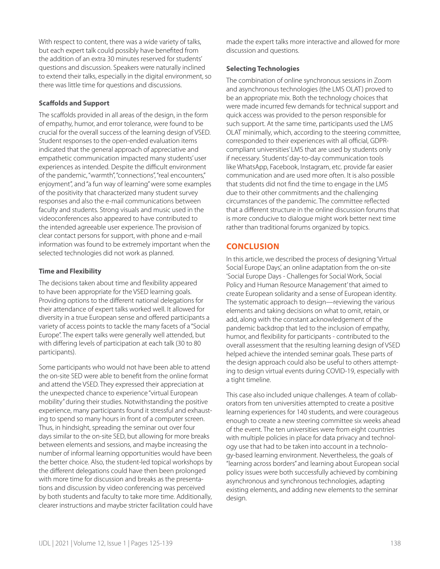With respect to content, there was a wide variety of talks, but each expert talk could possibly have benefited from the addition of an extra 30 minutes reserved for students' questions and discussion. Speakers were naturally inclined to extend their talks, especially in the digital environment, so there was little time for questions and discussions.

#### **Scaffolds and Support**

The scaffolds provided in all areas of the design, in the form of empathy, humor, and error tolerance, were found to be crucial for the overall success of the learning design of VSED. Student responses to the open-ended evaluation items indicated that the general approach of appreciative and empathetic communication impacted many students' user experiences as intended. Despite the difficult environment of the pandemic, "warmth", "connections", "real encounters," enjoyment", and "a fun way of learning" were some examples of the positivity that characterized many student survey responses and also the e-mail communications between faculty and students. Strong visuals and music used in the videoconferences also appeared to have contributed to the intended agreeable user experience. The provision of clear contact persons for support, with phone and e-mail information was found to be extremely important when the selected technologies did not work as planned.

## **Time and Flexibility**

The decisions taken about time and flexibility appeared to have been appropriate for the VSED learning goals. Providing options to the different national delegations for their attendance of expert talks worked well. It allowed for diversity in a true European sense and offered participants a variety of access points to tackle the many facets of a "Social Europe". The expert talks were generally well attended, but with differing levels of participation at each talk (30 to 80 participants).

Some participants who would not have been able to attend the on-site SED were able to benefit from the online format and attend the VSED. They expressed their appreciation at the unexpected chance to experience "virtual European mobility" during their studies. Notwithstanding the positive experience, many participants found it stressful and exhausting to spend so many hours in front of a computer screen. Thus, in hindsight, spreading the seminar out over four days similar to the on-site SED, but allowing for more breaks between elements and sessions, and maybe increasing the number of informal learning opportunities would have been the better choice. Also, the student-led topical workshops by the different delegations could have then been prolonged with more time for discussion and breaks as the presentations and discussion by video conferencing was perceived by both students and faculty to take more time. Additionally, clearer instructions and maybe stricter facilitation could have made the expert talks more interactive and allowed for more discussion and questions.

## **Selecting Technologies**

The combination of online synchronous sessions in Zoom and asynchronous technologies (the LMS OLAT) proved to be an appropriate mix. Both the technology choices that were made incurred few demands for technical support and quick access was provided to the person responsible for such support. At the same time, participants used the LMS OLAT minimally, which, according to the steering committee, corresponded to their experiences with all official, GDPRcompliant universities' LMS that are used by students only if necessary. Students' day-to-day communication tools like WhatsApp, Facebook, Instagram, etc. provide far easier communication and are used more often. It is also possible that students did not find the time to engage in the LMS due to their other commitments and the challenging circumstances of the pandemic. The committee reflected that a different structure in the online discussion forums that is more conducive to dialogue might work better next time rather than traditional forums organized by topics.

# **CONCLUSION**

In this article, we described the process of designing 'Virtual Social Europe Days', an online adaptation from the on-site 'Social Europe Days - Challenges for Social Work, Social Policy and Human Resource Management' that aimed to create European solidarity and a sense of European identity. The systematic approach to design—reviewing the various elements and taking decisions on what to omit, retain, or add, along with the constant acknowledgement of the pandemic backdrop that led to the inclusion of empathy, humor, and flexibility for participants - contributed to the overall assessment that the resulting learning design of VSED helped achieve the intended seminar goals. These parts of the design approach could also be useful to others attempting to design virtual events during COVID-19, especially with a tight timeline.

This case also included unique challenges. A team of collaborators from ten universities attempted to create a positive learning experiences for 140 students, and were courageous enough to create a new steering committee six weeks ahead of the event. The ten universities were from eight countries with multiple policies in place for data privacy and technology use that had to be taken into account in a technology-based learning environment. Nevertheless, the goals of "learning across borders" and learning about European social policy issues were both successfully achieved by combining asynchronous and synchronous technologies, adapting existing elements, and adding new elements to the seminar design.